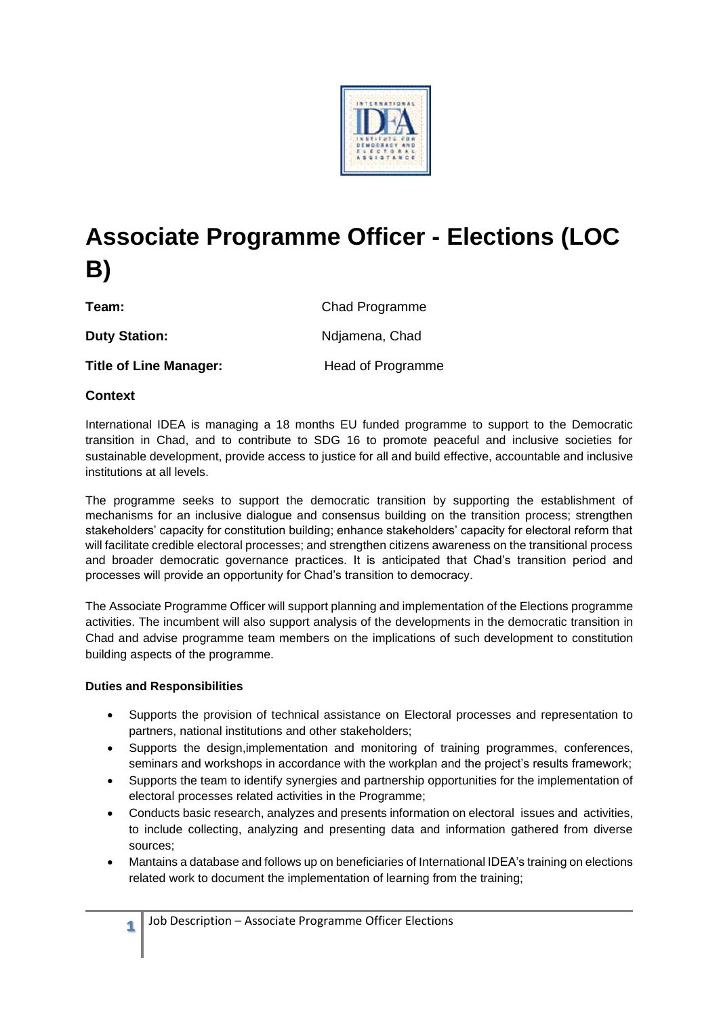

# **Associate Programme Officer - Elections (LOC B)**

**Team:** Chad Programme

**Duty Station:** Ndjamena, Chad **Title of Line Manager:** Head of Programme

# **Context**

International IDEA is managing a 18 months EU funded programme to support to the Democratic transition in Chad, and to contribute to SDG 16 to promote peaceful and inclusive societies for sustainable development, provide access to justice for all and build effective, accountable and inclusive institutions at all levels.

The programme seeks to support the democratic transition by supporting the establishment of mechanisms for an inclusive dialogue and consensus building on the transition process; strengthen stakeholders' capacity for constitution building; enhance stakeholders' capacity for electoral reform that will facilitate credible electoral processes; and strengthen citizens awareness on the transitional process and broader democratic governance practices. It is anticipated that Chad's transition period and processes will provide an opportunity for Chad's transition to democracy.

The Associate Programme Officer will support planning and implementation of the Elections programme activities. The incumbent will also support analysis of the developments in the democratic transition in Chad and advise programme team members on the implications of such development to constitution building aspects of the programme.

# **Duties and Responsibilities**

- Supports the provision of technical assistance on Electoral processes and representation to partners, national institutions and other stakeholders;
- Supports the design,implementation and monitoring of training programmes, conferences, seminars and workshops in accordance with the workplan and the project's results framework;
- Supports the team to identify synergies and partnership opportunities for the implementation of electoral processes related activities in the Programme;
- Conducts basic research, analyzes and presents information on electoral issues and activities, to include collecting, analyzing and presenting data and information gathered from diverse sources;
- Mantains a database and follows up on beneficiaries of International IDEA's training on elections related work to document the implementation of learning from the training;

**1**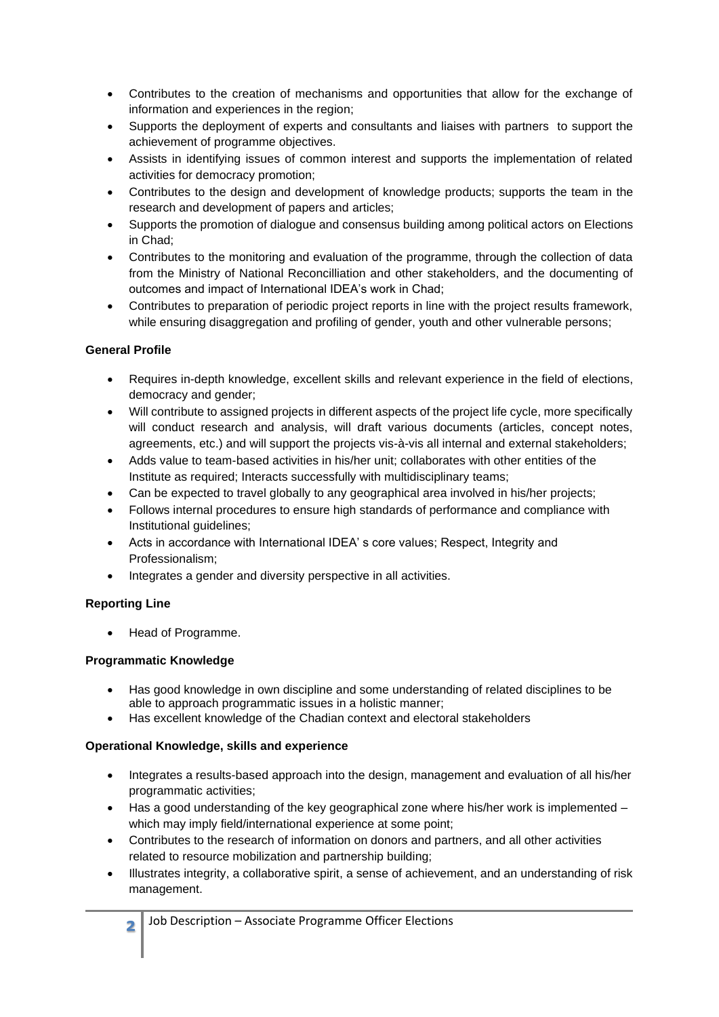- Contributes to the creation of mechanisms and opportunities that allow for the exchange of information and experiences in the region;
- Supports the deployment of experts and consultants and liaises with partners to support the achievement of programme objectives.
- Assists in identifying issues of common interest and supports the implementation of related activities for democracy promotion;
- Contributes to the design and development of knowledge products; supports the team in the research and development of papers and articles;
- Supports the promotion of dialogue and consensus building among political actors on Elections in Chad;
- Contributes to the monitoring and evaluation of the programme, through the collection of data from the Ministry of National Reconcilliation and other stakeholders, and the documenting of outcomes and impact of International IDEA's work in Chad;
- Contributes to preparation of periodic project reports in line with the project results framework, while ensuring disaggregation and profiling of gender, youth and other vulnerable persons;

# **General Profile**

- Requires in-depth knowledge, excellent skills and relevant experience in the field of elections, democracy and gender;
- Will contribute to assigned projects in different aspects of the project life cycle, more specifically will conduct research and analysis, will draft various documents (articles, concept notes, agreements, etc.) and will support the projects vis-à-vis all internal and external stakeholders;
- Adds value to team-based activities in his/her unit; collaborates with other entities of the Institute as required; Interacts successfully with multidisciplinary teams;
- Can be expected to travel globally to any geographical area involved in his/her projects;
- Follows internal procedures to ensure high standards of performance and compliance with Institutional guidelines;
- Acts in accordance with International IDEA' s core values; Respect, Integrity and Professionalism;
- Integrates a gender and diversity perspective in all activities.

# **Reporting Line**

• Head of Programme.

# **Programmatic Knowledge**

- Has good knowledge in own discipline and some understanding of related disciplines to be able to approach programmatic issues in a holistic manner;
- Has excellent knowledge of the Chadian context and electoral stakeholders

# **Operational Knowledge, skills and experience**

- Integrates a results-based approach into the design, management and evaluation of all his/her programmatic activities;
- Has a good understanding of the key geographical zone where his/her work is implemented which may imply field/international experience at some point;
- Contributes to the research of information on donors and partners, and all other activities related to resource mobilization and partnership building;
- Illustrates integrity, a collaborative spirit, a sense of achievement, and an understanding of risk management.